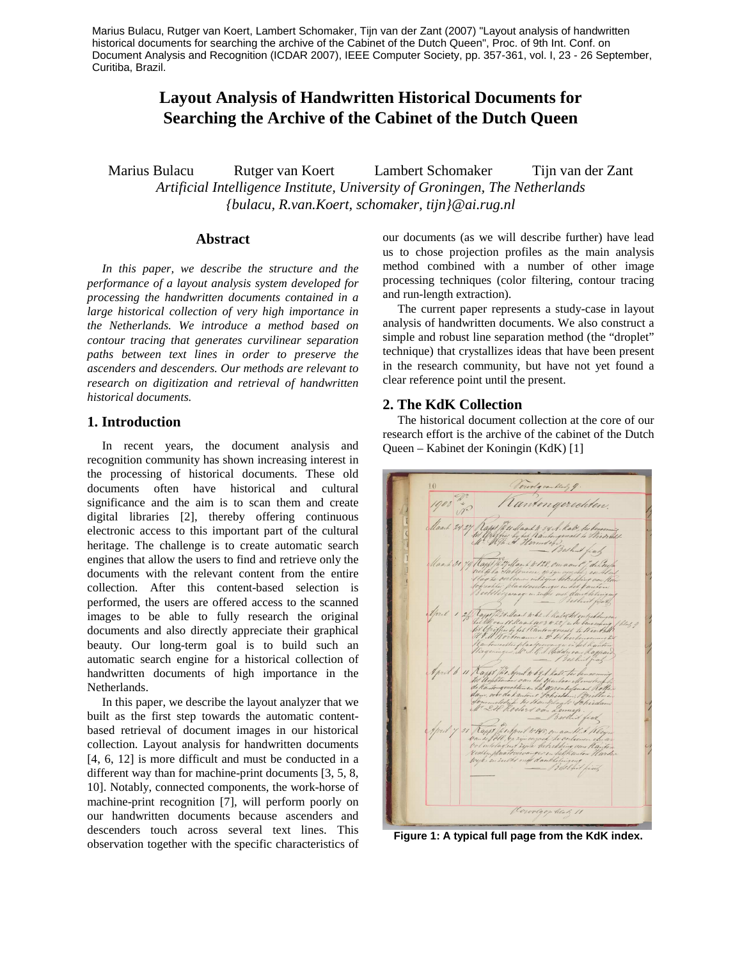Marius Bulacu, Rutger van Koert, Lambert Schomaker, Tijn van der Zant (2007) "Layout analysis of handwritten historical documents for searching the archive of the Cabinet of the Dutch Queen", Proc. of 9th Int. Conf. on Document Analysis and Recognition (ICDAR 2007), IEEE Computer Society, pp. 357-361, vol. I, 23 - 26 September, Curitiba, Brazil.

# **Layout Analysis of Handwritten Historical Documents for Searching the Archive of the Cabinet of the Dutch Queen**

Marius Bulacu Rutger van Koert Lambert Schomaker Tijn van der Zant *Artificial Intelligence Institute, University of Groningen, The Netherlands {bulacu, R.van.Koert, schomaker, tijn}@ai.rug.nl* 

# **Abstract**

*In this paper, we describe the structure and the performance of a layout analysis system developed for processing the handwritten documents contained in a large historical collection of very high importance in the Netherlands. We introduce a method based on contour tracing that generates curvilinear separation paths between text lines in order to preserve the ascenders and descenders. Our methods are relevant to research on digitization and retrieval of handwritten historical documents.* 

# **1. Introduction**

In recent years, the document analysis and recognition community has shown increasing interest in the processing of historical documents. These old documents often have historical and cultural significance and the aim is to scan them and create digital libraries [2], thereby offering continuous electronic access to this important part of the cultural heritage. The challenge is to create automatic search engines that allow the users to find and retrieve only the documents with the relevant content from the entire collection. After this content-based selection is performed, the users are offered access to the scanned images to be able to fully research the original documents and also directly appreciate their graphical beauty. Our long-term goal is to build such an automatic search engine for a historical collection of handwritten documents of high importance in the Netherlands.

In this paper, we describe the layout analyzer that we built as the first step towards the automatic contentbased retrieval of document images in our historical collection. Layout analysis for handwritten documents [4, 6, 12] is more difficult and must be conducted in a different way than for machine-print documents [3, 5, 8, 10]. Notably, connected components, the work-horse of machine-print recognition [7], will perform poorly on our handwritten documents because ascenders and descenders touch across several text lines. This observation together with the specific characteristics of

our documents (as we will describe further) have lead us to chose projection profiles as the main analysis method combined with a number of other image processing techniques (color filtering, contour tracing and run-length extraction).

The current paper represents a study-case in layout analysis of handwritten documents. We also construct a simple and robust line separation method (the "droplet" technique) that crystallizes ideas that have been present in the research community, but have not yet found a clear reference point until the present.

#### **2. The KdK Collection**

The historical document collection at the core of our research effort is the archive of the cabinet of the Dutch Queen – Kabinet der Koningin (KdK) [1]



**Figure 1: A typical full page from the KdK index.**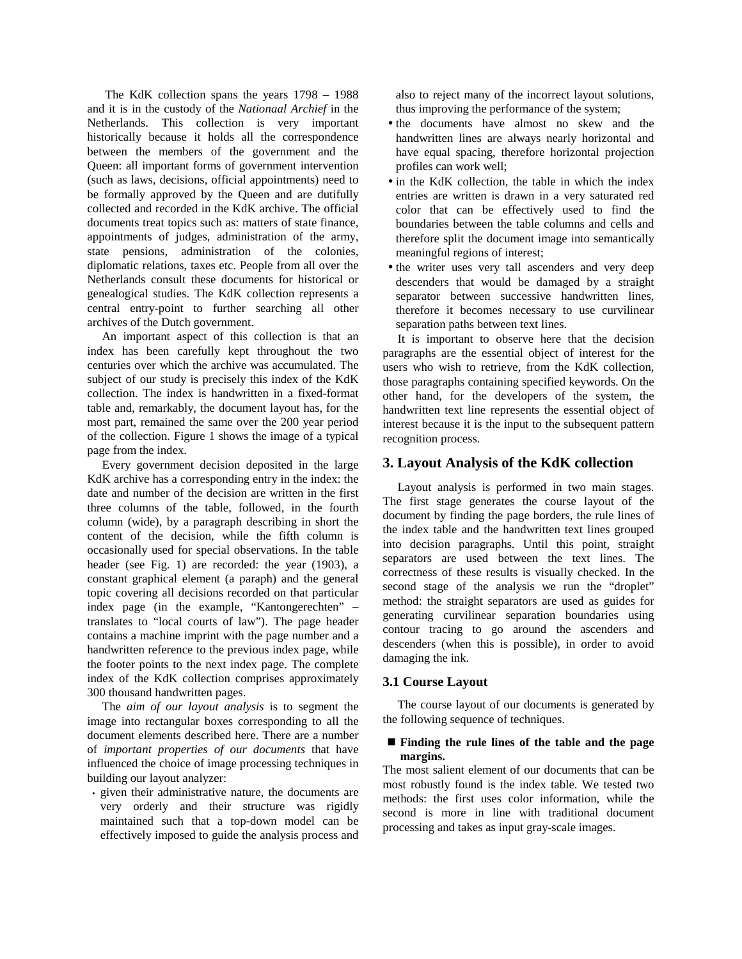The KdK collection spans the years 1798 – 1988 and it is in the custody of the *Nationaal Archief* in the Netherlands. This collection is very important historically because it holds all the correspondence between the members of the government and the Queen: all important forms of government intervention (such as laws, decisions, official appointments) need to be formally approved by the Queen and are dutifully collected and recorded in the KdK archive. The official documents treat topics such as: matters of state finance, appointments of judges, administration of the army, state pensions, administration of the colonies, diplomatic relations, taxes etc. People from all over the Netherlands consult these documents for historical or genealogical studies. The KdK collection represents a central entry-point to further searching all other archives of the Dutch government.

An important aspect of this collection is that an index has been carefully kept throughout the two centuries over which the archive was accumulated. The subject of our study is precisely this index of the KdK collection. The index is handwritten in a fixed-format table and, remarkably, the document layout has, for the most part, remained the same over the 200 year period of the collection. Figure 1 shows the image of a typical page from the index.

Every government decision deposited in the large KdK archive has a corresponding entry in the index: the date and number of the decision are written in the first three columns of the table, followed, in the fourth column (wide), by a paragraph describing in short the content of the decision, while the fifth column is occasionally used for special observations. In the table header (see Fig. 1) are recorded: the year (1903), a constant graphical element (a paraph) and the general topic covering all decisions recorded on that particular index page (in the example, "Kantongerechten" – translates to "local courts of law"). The page header contains a machine imprint with the page number and a handwritten reference to the previous index page, while the footer points to the next index page. The complete index of the KdK collection comprises approximately 300 thousand handwritten pages.

The *aim of our layout analysis* is to segment the image into rectangular boxes corresponding to all the document elements described here. There are a number of *important properties of our documents* that have influenced the choice of image processing techniques in building our layout analyzer:

• given their administrative nature, the documents are very orderly and their structure was rigidly maintained such that a top-down model can be effectively imposed to guide the analysis process and also to reject many of the incorrect layout solutions, thus improving the performance of the system;

- the documents have almost no skew and the handwritten lines are always nearly horizontal and have equal spacing, therefore horizontal projection profiles can work well;
- in the KdK collection, the table in which the index entries are written is drawn in a very saturated red color that can be effectively used to find the boundaries between the table columns and cells and therefore split the document image into semantically meaningful regions of interest;
- the writer uses very tall ascenders and very deep descenders that would be damaged by a straight separator between successive handwritten lines, therefore it becomes necessary to use curvilinear separation paths between text lines.

It is important to observe here that the decision paragraphs are the essential object of interest for the users who wish to retrieve, from the KdK collection, those paragraphs containing specified keywords. On the other hand, for the developers of the system, the handwritten text line represents the essential object of interest because it is the input to the subsequent pattern recognition process.

# **3. Layout Analysis of the KdK collection**

Layout analysis is performed in two main stages. The first stage generates the course layout of the document by finding the page borders, the rule lines of the index table and the handwritten text lines grouped into decision paragraphs. Until this point, straight separators are used between the text lines. The correctness of these results is visually checked. In the second stage of the analysis we run the "droplet" method: the straight separators are used as guides for generating curvilinear separation boundaries using contour tracing to go around the ascenders and descenders (when this is possible), in order to avoid damaging the ink.

# **3.1 Course Layout**

The course layout of our documents is generated by the following sequence of techniques.

### **Finding the rule lines of the table and the page margins.**

The most salient element of our documents that can be most robustly found is the index table. We tested two methods: the first uses color information, while the second is more in line with traditional document processing and takes as input gray-scale images.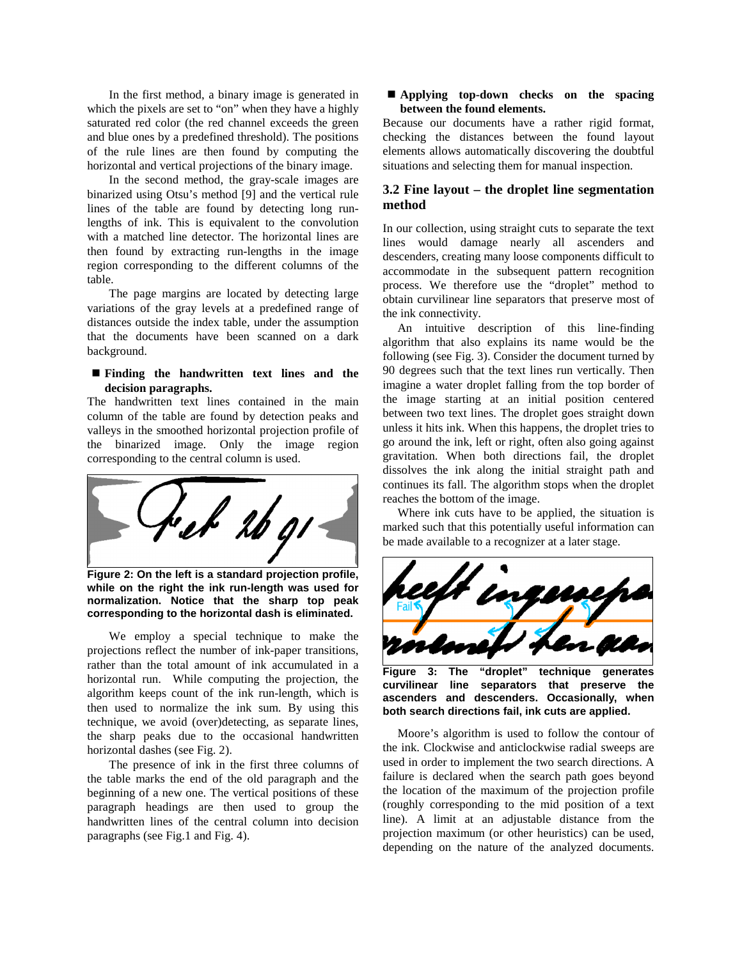In the first method, a binary image is generated in which the pixels are set to "on" when they have a highly saturated red color (the red channel exceeds the green and blue ones by a predefined threshold). The positions of the rule lines are then found by computing the horizontal and vertical projections of the binary image.

In the second method, the gray-scale images are binarized using Otsu's method [9] and the vertical rule lines of the table are found by detecting long runlengths of ink. This is equivalent to the convolution with a matched line detector. The horizontal lines are then found by extracting run-lengths in the image region corresponding to the different columns of the table.

The page margins are located by detecting large variations of the gray levels at a predefined range of distances outside the index table, under the assumption that the documents have been scanned on a dark background.

#### **Finding the handwritten text lines and the decision paragraphs.**

The handwritten text lines contained in the main column of the table are found by detection peaks and valleys in the smoothed horizontal projection profile of the binarized image. Only the image region corresponding to the central column is used.



**Figure 2: On the left is a standard projection profile, while on the right the ink run-length was used for normalization. Notice that the sharp top peak corresponding to the horizontal dash is eliminated.**

We employ a special technique to make the projections reflect the number of ink-paper transitions, rather than the total amount of ink accumulated in a horizontal run. While computing the projection, the algorithm keeps count of the ink run-length, which is then used to normalize the ink sum. By using this technique, we avoid (over)detecting, as separate lines, the sharp peaks due to the occasional handwritten horizontal dashes (see Fig. 2).

The presence of ink in the first three columns of the table marks the end of the old paragraph and the beginning of a new one. The vertical positions of these paragraph headings are then used to group the handwritten lines of the central column into decision paragraphs (see Fig.1 and Fig. 4).

#### **Applying top-down checks on the spacing between the found elements.**

Because our documents have a rather rigid format, checking the distances between the found layout elements allows automatically discovering the doubtful situations and selecting them for manual inspection.

# **3.2 Fine layout – the droplet line segmentation method**

In our collection, using straight cuts to separate the text lines would damage nearly all ascenders and descenders, creating many loose components difficult to accommodate in the subsequent pattern recognition process. We therefore use the "droplet" method to obtain curvilinear line separators that preserve most of the ink connectivity.

An intuitive description of this line-finding algorithm that also explains its name would be the following (see Fig. 3). Consider the document turned by 90 degrees such that the text lines run vertically. Then imagine a water droplet falling from the top border of the image starting at an initial position centered between two text lines. The droplet goes straight down unless it hits ink. When this happens, the droplet tries to go around the ink, left or right, often also going against gravitation. When both directions fail, the droplet dissolves the ink along the initial straight path and continues its fall. The algorithm stops when the droplet reaches the bottom of the image.

Where ink cuts have to be applied, the situation is marked such that this potentially useful information can be made available to a recognizer at a later stage.



**Figure 3: The "droplet" technique generates curvilinear line separators that preserve the ascenders and descenders. Occasionally, when both search directions fail, ink cuts are applied.** 

Moore's algorithm is used to follow the contour of the ink. Clockwise and anticlockwise radial sweeps are used in order to implement the two search directions. A failure is declared when the search path goes beyond the location of the maximum of the projection profile (roughly corresponding to the mid position of a text line). A limit at an adjustable distance from the projection maximum (or other heuristics) can be used, depending on the nature of the analyzed documents.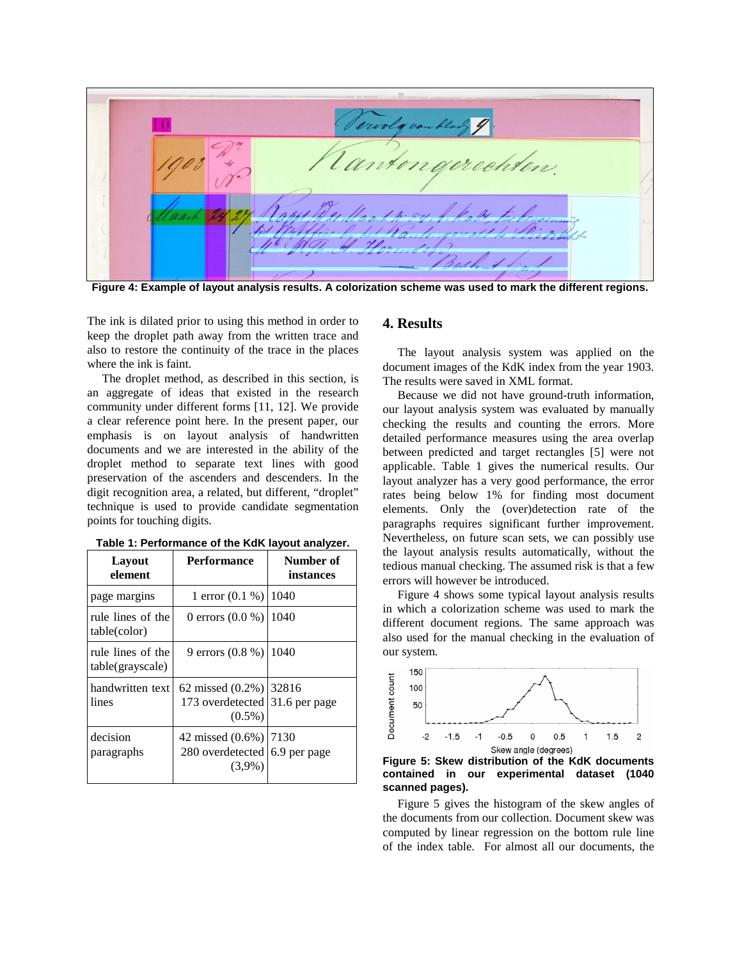

**Figure 4: Example of layout analysis results. A colorization scheme was used to mark the different regions.** 

The ink is dilated prior to using this method in order to keep the droplet path away from the written trace and also to restore the continuity of the trace in the places where the ink is faint.

The droplet method, as described in this section, is an aggregate of ideas that existed in the research community under different forms [11, 12]. We provide a clear reference point here. In the present paper, our emphasis is on layout analysis of handwritten documents and we are interested in the ability of the droplet method to separate text lines with good preservation of the ascenders and descenders. In the digit recognition area, a related, but different, "droplet" technique is used to provide candidate segmentation points for touching digits.

| Layout<br>element                     | <b>Performance</b>                                                       | Number of<br>instances |  |  |  |
|---------------------------------------|--------------------------------------------------------------------------|------------------------|--|--|--|
| page margins                          | 1 error $(0.1 %)$                                                        | 1040                   |  |  |  |
| rule lines of the<br>table(color)     | 0 errors $(0.0 %)$                                                       | 1040                   |  |  |  |
| rule lines of the<br>table(grayscale) | 9 errors $(0.8\%)$                                                       | 1040                   |  |  |  |
| handwritten text<br>lines             | 62 missed $(0.2\%)$ 32816<br>173 overdetected 31.6 per page<br>$(0.5\%)$ |                        |  |  |  |
| decision<br>paragraphs                | 42 missed (0.6%) 7130<br>280 overdetected<br>$(3.9\%)$                   | 6.9 per page           |  |  |  |

| Table 1: Performance of the KdK layout analyzer. |  |  |  |  |  |  |  |  |  |  |
|--------------------------------------------------|--|--|--|--|--|--|--|--|--|--|
|--------------------------------------------------|--|--|--|--|--|--|--|--|--|--|

### **4. Results**

The layout analysis system was applied on the document images of the KdK index from the year 1903. The results were saved in XML format.

Because we did not have ground-truth information, our layout analysis system was evaluated by manually checking the results and counting the errors. More detailed performance measures using the area overlap between predicted and target rectangles [5] were not applicable. Table 1 gives the numerical results. Our layout analyzer has a very good performance, the error rates being below 1% for finding most document elements. Only the (over)detection rate of the paragraphs requires significant further improvement. Nevertheless, on future scan sets, we can possibly use the layout analysis results automatically, without the tedious manual checking. The assumed risk is that a few errors will however be introduced.

Figure 4 shows some typical layout analysis results in which a colorization scheme was used to mark the different document regions. The same approach was also used for the manual checking in the evaluation of our system.





Figure 5 gives the histogram of the skew angles of the documents from our collection. Document skew was computed by linear regression on the bottom rule line of the index table. For almost all our documents, the